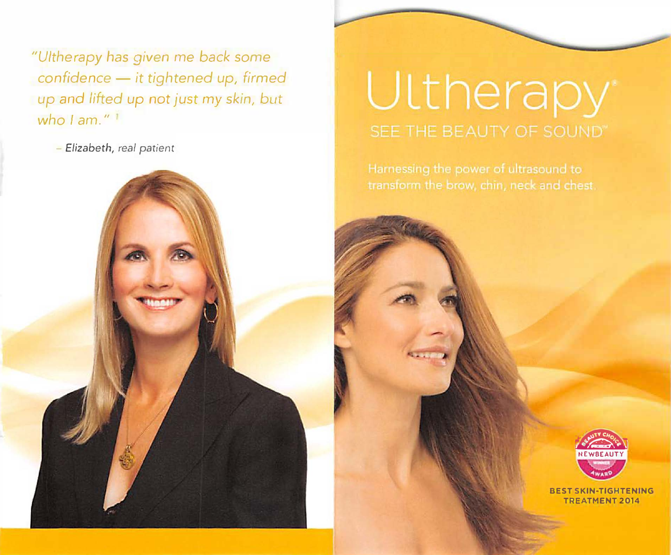*"Uitherapy* has given me *back some confidence* - *it tightened up, firmed up* and *lifted up* not *just* my *skin,* but who I am."<sup>1</sup>

- *Elizabeth, real patient* 

# **Ultherapy** SEE THE BEAUTY OF SOUND"



**BEST SKIN-TIGHTENING TREATMENT 2014**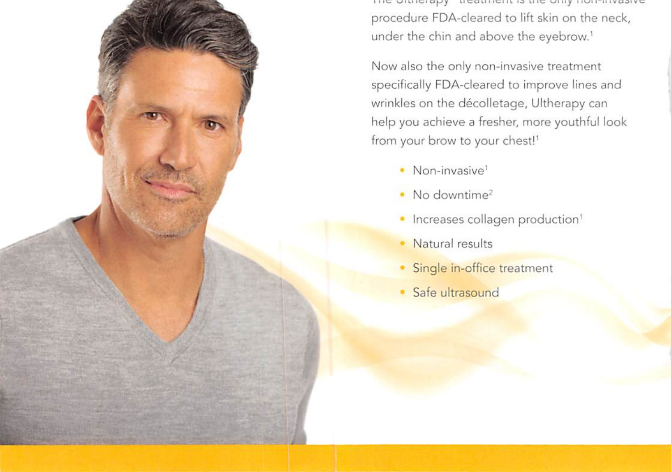THE UNNERDY LIGGLINGHL IS LIG UNIVERSITY TO THE UNIVERSITY procedure FDA-cleared to lift skin on the neck, under the chin and above the eyebrow.<sup>1</sup>

Now also the only non-invasive treatment specifically FDA-cleared to improve lines and wrinkles on the décolletage, Ultherapy can help you achieve a fresher, more youthful look from your brow to your chest!<sup>1</sup>

- · Non-invasive<sup>1</sup>
- No downtime<sup>2</sup>
- · Increases collagen production<sup>1</sup>
- Natural results
- · Single in-office treatment
- Safe ultrasound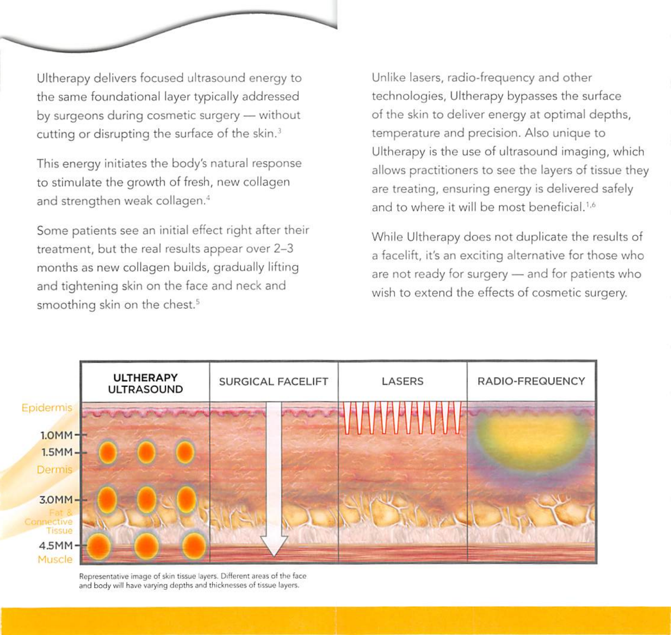Ultherapy delivers focused ultrasound energy to the same foundational layer typically addressed by surgeons during cosmetic surgery - without cutting or disrupting the surface of the skin.<sup>3</sup>

This energy initiates the body's natural response to stimulate the growth of fresh, new collagen and strengthen weak collagen.<sup>4</sup>

Some patients see an initial effect right after their treatment, but the real results appear over 2-3 months as new collagen builds, gradually lifting and tightening skin on the face and neck and smoothing skin on the chest.<sup>5</sup>

Unlike lasers, radio-frequency and other technologies, Ultherapy bypasses the surface of the skin to deliver energy at optimal depths, temperature and precision. Also unique to Ultherapy is the use of ultrasound imaging, which allows practitioners to see the layers of tissue they are treating, ensuring energy is delivered safely and to where it will be most beneficial.<sup>1,6</sup>

While Ultherapy does not duplicate the results of a facelift, it's an exciting alternative for those who are not ready for surgery - and for patients who wish to extend the effects of cosmetic surgery.



Representative image of skin tissue layers. Different areas of the face and body will have varying depths and thicknesses of tissue layers.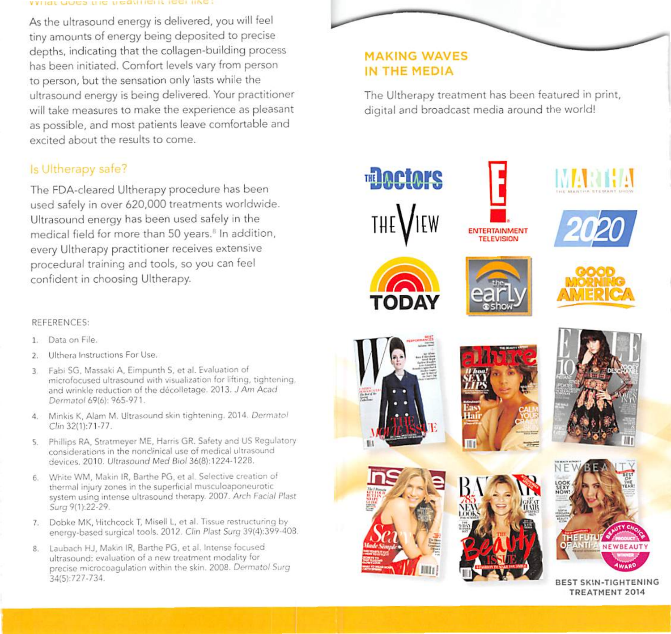#### WIRT OORS THE NEQUIRE INTERNIE

As the ultrasound energy is delivered, you will feel tiny amounts of energy being deposited to precise depths, indicating that the collagen-building process has been initiated. Comfort levels vary from person to person, but the sensation only lasts while the ultrasound energy is being delivered. Your practitioner will take measures to make the experience as pleasant as possible, and most patients leave comfortable and excited about the results to come.

## Is Ultherapy safe?

The FDA-cleared Ultherapy procedure has been used safely in over 620,000 treatments worldwide. Ultrasound energy has been used safely in the medical field for more than 50 years.<sup>8</sup> In addition, every Ultherapy practitioner receives extensive procedural training and tools, so you can feel confident in choosing Ultherapy.

#### REFERENCES:

- 1. Data on File.
- Ulthera Instructions For Use.
- Fabi SG, Massaki A, Eimpunth S, et al. Evaluation of 3. microfocused ultrasound with visualization for lifting, tightening, and wrinkle reduction of the décolletage. 2013. J Am Acad Dermatol 69(6): 965-971.
- 4. Minkis K, Alam M. Ultrasound skin tightening. 2014. Dermatol Clin 32(1):71-77.
- Phillips RA, Stratmeyer ME, Harris GR. Safety and US Regulatory 5. considerations in the nonclinical use of medical ultrasound devices. 2010. Ultrasound Med Biol 36(8):1224-1228.
- White WM, Makin IR, Barthe PG, et al. Selective creation of thermal injury zones in the superficial musculoaponeurotic system using intense ultrasound therapy. 2007. Arch Facial Plast Surg 9(1):22-29.
- 7. Dobke MK, Hitchcock T, Misell L, et al. Tissue restructuring by energy-based surgical tools. 2012. Clin Plast Surg 39(4):399-408.
- 8. Laubach HJ, Makin IR, Barthe PG, et al. Intense focused ultrasound: evaluation of a new treatment modality for precise microcoagulation within the skin. 2008. Dermatol Surg 34(5):727-734.

## **MAKING WAVES** IN THE MEDIA

The Ultherapy treatment has been featured in print, digital and broadcast media around the world!













BEST SKIN-TIGHTENING TREATMENT 2014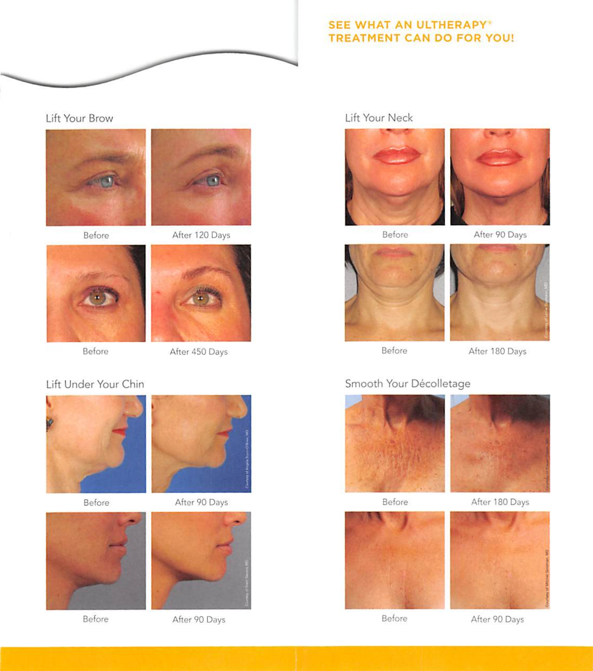

## **SEE WHAT AN ULTHERAPY® TREATMENT CAN DO FOR YOU!**

Lift Your Brow



Before





Before



After 450 Days

## Lift Under Your Chin



Before



Before



After 90 Days



After 90 Days

## Lift Your Neck





Before

After 90 Days





Before

#### After 180 Days

## Smooth Your Décolletage



Before

After 180 Days





Before

After 90 Days